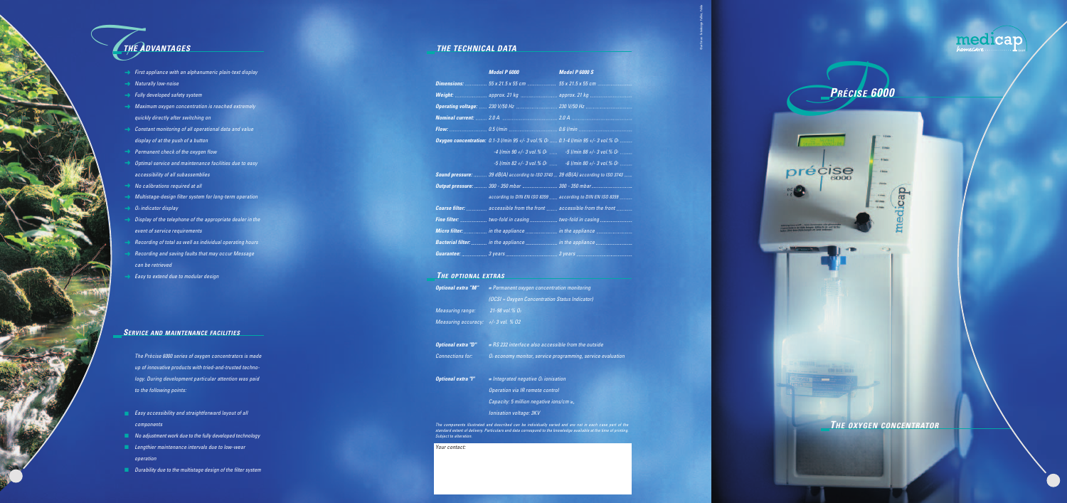

© art'max · fotodesign Fallier, Fulda

| Model P 6000                                               | <b>Mod</b> |
|------------------------------------------------------------|------------|
|                                                            |            |
| Weight:  approx. 21 kg  appr                               |            |
| <b>Operating voltage:</b> 230 V/50 Hz  230 \               |            |
|                                                            |            |
|                                                            |            |
| Oxygen concentration: 0.1-3 l/min 95 +/- 3 vol.% O2  0.1-4 |            |
| $-4$ l/min 90 +/- 3 vol.% 0 <sup>2</sup> -5                |            |
| $-5$ l/min 82 +/- 3 vol.% 02 $-6$                          |            |
| Sound pressure:  39 dB(A) according to ISO 3743  39 dl     |            |
| Output pressure:  300 - 350 mbar  300 -                    |            |
| according to DIN EN ISO 8359  acco.                        |            |
| Coarse filter:  accessible from the front  acce            |            |
| Fine filter:  two-fold in casing  two-                     |            |
| Micro filter:  in the appliance  in the                    |            |
| Bacterial filter:  in the appliance  in the                |            |
|                                                            |            |
|                                                            |            |

*Model P 6000 Model P 6000 S Dimensions: 55 x 21.5 x 55 cm 55 x 21.5 x 55 cm approx. 21 kg .. Operating voltage: 230 V/50 Hz 230 V/50 Hz Flow: 0.5 l/min 0.6 l/min Oxygen concentration: 0.1-3 l/min 95 +/- 3 vol.% O2 0.1-4 l/min 95 +/- 3 vol.% O2 -4 l/min 90 +/- 3 vol.% O2 -5 l/min 88 +/- 3 vol.% O2 -5 l/min 82 +/- 3 vol.% O2 -6 l/min 80 +/- 3 vol.% O2 ISO 3743* ... 39 dB(A) according to ISO 3743 ...... *Output pressure: 300 - 350 mbar 300 - 350 mbar*

*according to DIN EN ISO 8359 according to DIN EN ISO 8359 Cont ........ accessible from the front ...... Fine filter: two-fold in casing two-fold in casing Micro filter: in the appliance in the appliance*

> *Bacterial filter: in the appliance in the appliance Guarantee: 3 years 3 years*

*Optional extra "M" = Permanent oxygen concentration monitoring (OCSI = Oxygen Concentration Status Indicator)*

*Optional extra "D" = RS 232 interface also accessible from the outside*

*Connections for: O2 economy monitor, service programming, service evaluation*

*Optional extra "I" = Integrated negative O2 ionisation*

*e control* 

| <b>Optional extra "M"</b>          | = Permanent oxygen co                                                                                                  |
|------------------------------------|------------------------------------------------------------------------------------------------------------------------|
|                                    | (OCSI = Oxygen Concer                                                                                                  |
| Measuring range:                   | $\frac{1}{21}$ -98 vol.% 02                                                                                            |
| Measuring accuracy: +/-3 vol. % 02 |                                                                                                                        |
| <b>Optional extra "D"</b>          | = RS 232 interface also                                                                                                |
| <b>Connections for:</b>            | $O2$ economy monitor, se                                                                                               |
| <b>Optional extra "I"</b>          | = Integrated negative l                                                                                                |
|                                    | <b>Operation via IR remote</b>                                                                                         |
|                                    | Capacity: 5 million neg.                                                                                               |
|                                    | Ionisation voltage: 3KV                                                                                                |
| Subject to alteration.             | The components illustrated and described can be individ<br>standard extent of delivery. Particulars and data correspon |

*Capacity: 5 million negative ions/cm* ≥*,*

*The components illustrated and described can be individually varied and are not in each case part of the standard extent of delivery. Particulars and data correspond to the knowledge available at the time of printing.*

medicap

*Your contact:*

## *THE TECHNICAL DATA*

### *THE OPTIONAL EXTRAS*

- ➜ *First appliance with an alphanumeric plain-text display*
- ➜ *Naturally low-noise*
- ➜ *Fully developed safety system*
- ➜ *Maximum oxygen concentration is reached extremely quickly directly after switching on*
- ➜ *Constant monitoring of all operational data and value display of at the push of a button*
- ➜ *Permanent check of the oxygen flow*
- ➜ *Optimal service and maintenance facilities due to easy accessibility of all subassemblies*
- ➜ *No calibrations required at all*
- ➜ *Multistage-design filter system for long-term operation*
- ➜ *O2 indicator display*
- ➜ *Display of the telephone of the appropriate dealer in the event of service requirements*
- ➜ *Recording of total as well as individual operating hours*
- ➜ *Recording and saving faults that may occur Message can be retrieved*
- ➜ *Easy to extend due to modular design*

*The Prècise 6000 series of oxygen concentrators is made up of innovative products with tried-and-trusted technology. During development particular attention was paid to the following points:*

- *Easy accessibility and straightforward layout of all components*
- *No adjustment work due to the fully developed technology*
- *Lengthier maintenance intervals due to low-wear operation*
- *Durability due to the multistage design of the filter system*

# *THE ADVANTAGES*

## *SERVICE AND MAINTENANCE FACILITIES*

*PPRÉCISE <sup>6000</sup>*

précise

6000